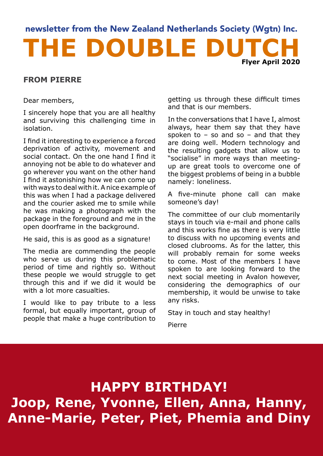### THE DOUBLE DUT newsletter from the New Zealand Netherlands Society (Wgtn) Inc. **Flyer April 2020**

### **FROM PIERRE**

Dear members,

I sincerely hope that you are all healthy and surviving this challenging time in isolation.

I find it interesting to experience a forced deprivation of activity, movement and social contact. On the one hand I find it annoying not be able to do whatever and go wherever you want on the other hand I find it astonishing how we can come up with ways to deal with it. A nice example of this was when I had a package delivered and the courier asked me to smile while he was making a photograph with the package in the foreground and me in the open doorframe in the background.

He said, this is as good as a signature!

The media are commending the people who serve us during this problematic period of time and rightly so. Without these people we would struggle to get through this and if we did it would be with a lot more casualties.

I would like to pay tribute to a less formal, but equally important, group of people that make a huge contribution to getting us through these difficult times and that is our members.

In the conversations that I have I, almost always, hear them say that they have spoken to  $-$  so and so  $-$  and that they are doing well. Modern technology and the resulting gadgets that allow us to "socialise" in more ways than meetingup are great tools to overcome one of the biggest problems of being in a bubble namely: loneliness.

A five-minute phone call can make someone's day!

The committee of our club momentarily stays in touch via e-mail and phone calls and this works fine as there is very little to discuss with no upcoming events and closed clubrooms. As for the latter, this will probably remain for some weeks to come. Most of the members I have spoken to are looking forward to the next social meeting in Avalon however, considering the demographics of our membership, it would be unwise to take any risks.

Stay in touch and stay healthy!

Pierre

**HAPPY BIRTHDAY! Joop, Rene, Yvonne, Ellen, Anna, Hanny, Anne-Marie, Peter, Piet, Phemia and Diny**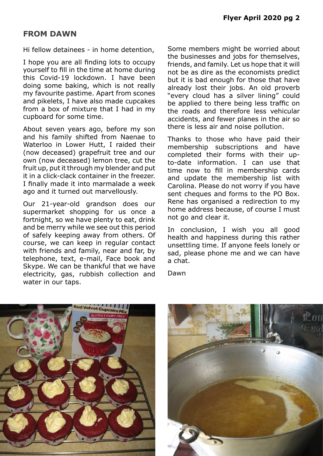### **FROM DAWN**

Hi fellow detainees - in home detention,

I hope you are all finding lots to occupy yourself to fill in the time at home during this Covid-19 lockdown. I have been doing some baking, which is not really my favourite pastime. Apart from scones and pikelets, I have also made cupcakes from a box of mixture that I had in my cupboard for some time.

About seven years ago, before my son and his family shifted from Naenae to Waterloo in Lower Hutt, I raided their (now deceased) grapefruit tree and our own (now deceased) lemon tree, cut the fruit up, put it through my blender and put it in a click-clack container in the freezer. I finally made it into marmalade a week ago and it turned out marvellously.

Our 21-year-old grandson does our supermarket shopping for us once a fortnight, so we have plenty to eat, drink and be merry while we see out this period of safely keeping away from others. Of course, we can keep in regular contact with friends and family, near and far, by telephone, text, e-mail, Face book and Skype. We can be thankful that we have electricity, gas, rubbish collection and water in our taps.

Some members might be worried about the businesses and jobs for themselves, friends, and family. Let us hope that it will not be as dire as the economists predict but it is bad enough for those that have already lost their jobs. An old proverb "every cloud has a silver lining" could be applied to there being less traffic on the roads and therefore less vehicular accidents, and fewer planes in the air so there is less air and noise pollution.

Thanks to those who have paid their membership subscriptions and have completed their forms with their upto-date information. I can use that time now to fill in membership cards and update the membership list with Carolina. Please do not worry if you have sent cheques and forms to the PO Box. Rene has organised a redirection to my home address because, of course I must not go and clear it.

In conclusion, I wish you all good health and happiness during this rather unsettling time. If anyone feels lonely or sad, please phone me and we can have a chat.

Dawn



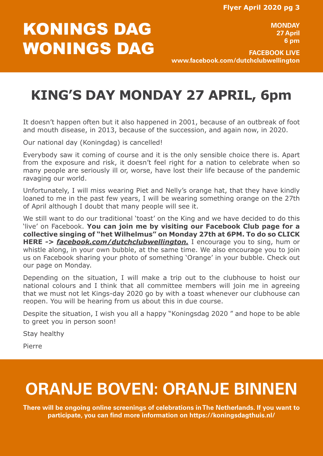# KONINGS DAG WONINGS DAG

**MONDAY 27 April 6 pm**

**FACEBOOK LIVE www.facebook.com/dutchclubwellington**

## **KING'S DAY MONDAY 27 APRIL, 6pm**

It doesn't happen often but it also happened in 2001, because of an outbreak of foot and mouth disease, in 2013, because of the succession, and again now, in 2020.

Our national day (Koningdag) is cancelled!

Everybody saw it coming of course and it is the only sensible choice there is. Apart from the exposure and risk, it doesn't feel right for a nation to celebrate when so many people are seriously ill or, worse, have lost their life because of the pandemic ravaging our world.

Unfortunately, I will miss wearing Piet and Nelly's orange hat, that they have kindly loaned to me in the past few years, I will be wearing something orange on the 27th of April although I doubt that many people will see it.

We still want to do our traditional 'toast' on the King and we have decided to do this 'live' on Facebook. **You can join me by visiting our Facebook Club page for a collective singing of "het Wilhelmus" on Monday 27th at 6PM. To do so CLICK HERE** *-> [facebook.com/dutchclubwellington](https://www.facebook.com/dutchclubwellington/).* I encourage you to sing, hum or whistle along, in your own bubble, at the same time. We also encourage you to join us on Facebook sharing your photo of something 'Orange' in your bubble. Check out our page on Monday.

Depending on the situation, I will make a trip out to the clubhouse to hoist our national colours and I think that all committee members will join me in agreeing that we must not let Kings-day 2020 go by with a toast whenever our clubhouse can reopen. You will be hearing from us about this in due course.

Despite the situation, I wish you all a happy "Koningsdag 2020 " and hope to be able to greet you in person soon!

Stay healthy

Pierre

# **ORANJE BOVEN: ORANJE BINNEN**

**There will be ongoing online screenings of celebrations in The Netherlands. If you want to participate, you can find more information on https://koningsdagthuis.nl/**